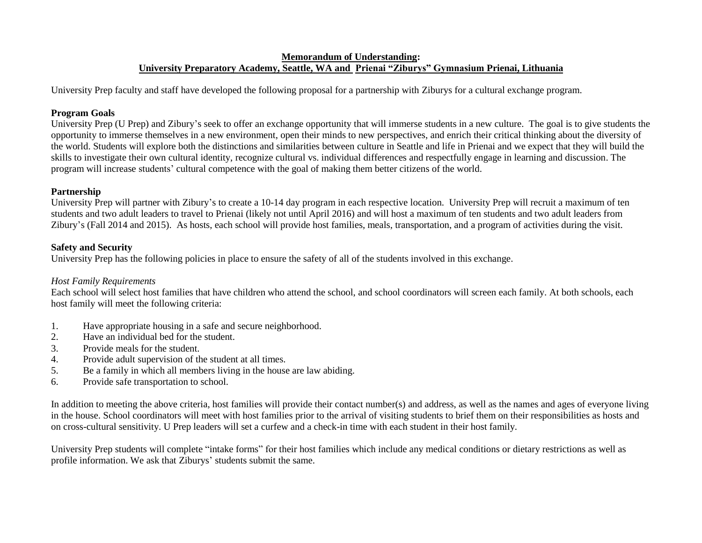## **Memorandum of Understanding: University Preparatory Academy, Seattle, WA and Prienai "Ziburys" Gymnasium Prienai, Lithuania**

University Prep faculty and staff have developed the following proposal for a partnership with Ziburys for a cultural exchange program.

### **Program Goals**

University Prep (U Prep) and Zibury's seek to offer an exchange opportunity that will immerse students in a new culture. The goal is to give students the opportunity to immerse themselves in a new environment, open their minds to new perspectives, and enrich their critical thinking about the diversity of the world. Students will explore both the distinctions and similarities between culture in Seattle and life in Prienai and we expect that they will build the skills to investigate their own cultural identity, recognize cultural vs. individual differences and respectfully engage in learning and discussion. The program will increase students' cultural competence with the goal of making them better citizens of the world.

# **Partnership**

University Prep will partner with Zibury's to create a 10-14 day program in each respective location. University Prep will recruit a maximum of ten students and two adult leaders to travel to Prienai (likely not until April 2016) and will host a maximum of ten students and two adult leaders from Zibury's (Fall 2014 and 2015). As hosts, each school will provide host families, meals, transportation, and a program of activities during the visit.

# **Safety and Security**

University Prep has the following policies in place to ensure the safety of all of the students involved in this exchange.

# *Host Family Requirements*

Each school will select host families that have children who attend the school, and school coordinators will screen each family. At both schools, each host family will meet the following criteria:

- 1. Have appropriate housing in a safe and secure neighborhood.
- 2. Have an individual bed for the student.
- 3. Provide meals for the student.
- 4. Provide adult supervision of the student at all times.
- 5. Be a family in which all members living in the house are law abiding.
- 6. Provide safe transportation to school.

In addition to meeting the above criteria, host families will provide their contact number(s) and address, as well as the names and ages of everyone living in the house. School coordinators will meet with host families prior to the arrival of visiting students to brief them on their responsibilities as hosts and on cross-cultural sensitivity. U Prep leaders will set a curfew and a check-in time with each student in their host family.

University Prep students will complete "intake forms" for their host families which include any medical conditions or dietary restrictions as well as profile information. We ask that Ziburys' students submit the same.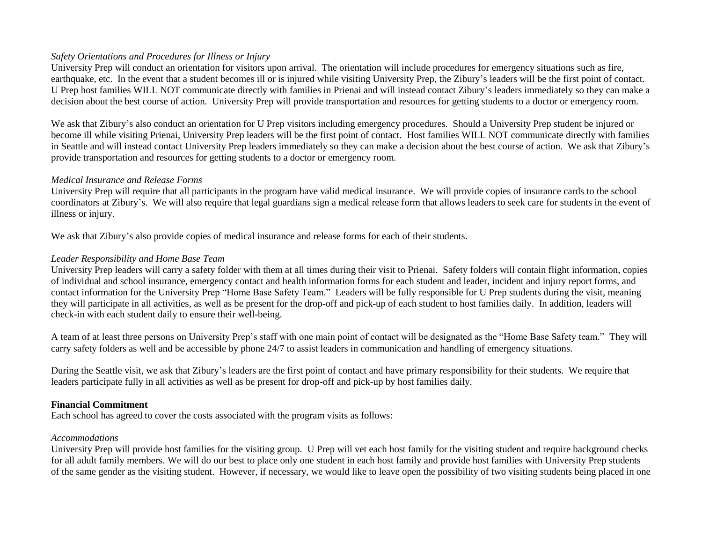# *Safety Orientations and Procedures for Illness or Injury*

University Prep will conduct an orientation for visitors upon arrival. The orientation will include procedures for emergency situations such as fire, earthquake, etc. In the event that a student becomes ill or is injured while visiting University Prep, the Zibury's leaders will be the first point of contact. U Prep host families WILL NOT communicate directly with families in Prienai and will instead contact Zibury's leaders immediately so they can make a decision about the best course of action. University Prep will provide transportation and resources for getting students to a doctor or emergency room.

We ask that Zibury's also conduct an orientation for U Prep visitors including emergency procedures. Should a University Prep student be injured or become ill while visiting Prienai, University Prep leaders will be the first point of contact. Host families WILL NOT communicate directly with families in Seattle and will instead contact University Prep leaders immediately so they can make a decision about the best course of action. We ask that Zibury's provide transportation and resources for getting students to a doctor or emergency room.

# *Medical Insurance and Release Forms*

University Prep will require that all participants in the program have valid medical insurance. We will provide copies of insurance cards to the school coordinators at Zibury's. We will also require that legal guardians sign a medical release form that allows leaders to seek care for students in the event of illness or injury.

We ask that Zibury's also provide copies of medical insurance and release forms for each of their students.

# *Leader Responsibility and Home Base Team*

University Prep leaders will carry a safety folder with them at all times during their visit to Prienai. Safety folders will contain flight information, copies of individual and school insurance, emergency contact and health information forms for each student and leader, incident and injury report forms, and contact information for the University Prep "Home Base Safety Team." Leaders will be fully responsible for U Prep students during the visit, meaning they will participate in all activities, as well as be present for the drop-off and pick-up of each student to host families daily. In addition, leaders will check-in with each student daily to ensure their well-being.

A team of at least three persons on University Prep's staff with one main point of contact will be designated as the "Home Base Safety team." They will carry safety folders as well and be accessible by phone 24/7 to assist leaders in communication and handling of emergency situations.

During the Seattle visit, we ask that Zibury's leaders are the first point of contact and have primary responsibility for their students. We require that leaders participate fully in all activities as well as be present for drop-off and pick-up by host families daily.

# **Financial Commitment**

Each school has agreed to cover the costs associated with the program visits as follows:

# *Accommodations*

University Prep will provide host families for the visiting group. U Prep will vet each host family for the visiting student and require background checks for all adult family members. We will do our best to place only one student in each host family and provide host families with University Prep students of the same gender as the visiting student. However, if necessary, we would like to leave open the possibility of two visiting students being placed in one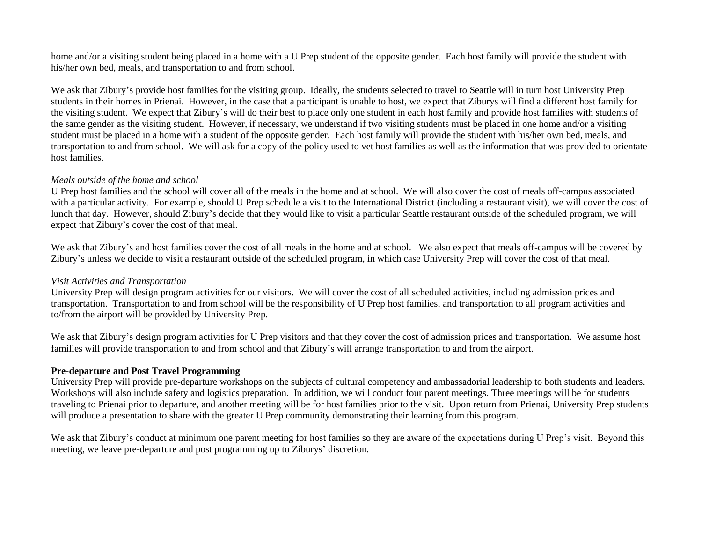home and/or a visiting student being placed in a home with a U Prep student of the opposite gender. Each host family will provide the student with his/her own bed, meals, and transportation to and from school.

We ask that Zibury's provide host families for the visiting group. Ideally, the students selected to travel to Seattle will in turn host University Prep students in their homes in Prienai. However, in the case that a participant is unable to host, we expect that Ziburys will find a different host family for the visiting student. We expect that Zibury's will do their best to place only one student in each host family and provide host families with students of the same gender as the visiting student. However, if necessary, we understand if two visiting students must be placed in one home and/or a visiting student must be placed in a home with a student of the opposite gender. Each host family will provide the student with his/her own bed, meals, and transportation to and from school. We will ask for a copy of the policy used to vet host families as well as the information that was provided to orientate host families.

#### *Meals outside of the home and school*

U Prep host families and the school will cover all of the meals in the home and at school. We will also cover the cost of meals off-campus associated with a particular activity. For example, should U Prep schedule a visit to the International District (including a restaurant visit), we will cover the cost of lunch that day. However, should Zibury's decide that they would like to visit a particular Seattle restaurant outside of the scheduled program, we will expect that Zibury's cover the cost of that meal.

We ask that Zibury's and host families cover the cost of all meals in the home and at school. We also expect that meals off-campus will be covered by Zibury's unless we decide to visit a restaurant outside of the scheduled program, in which case University Prep will cover the cost of that meal.

#### *Visit Activities and Transportation*

University Prep will design program activities for our visitors. We will cover the cost of all scheduled activities, including admission prices and transportation. Transportation to and from school will be the responsibility of U Prep host families, and transportation to all program activities and to/from the airport will be provided by University Prep.

We ask that Zibury's design program activities for U Prep visitors and that they cover the cost of admission prices and transportation. We assume host families will provide transportation to and from school and that Zibury's will arrange transportation to and from the airport.

#### **Pre-departure and Post Travel Programming**

University Prep will provide pre-departure workshops on the subjects of cultural competency and ambassadorial leadership to both students and leaders. Workshops will also include safety and logistics preparation. In addition, we will conduct four parent meetings. Three meetings will be for students traveling to Prienai prior to departure, and another meeting will be for host families prior to the visit. Upon return from Prienai, University Prep students will produce a presentation to share with the greater U Prep community demonstrating their learning from this program.

We ask that Zibury's conduct at minimum one parent meeting for host families so they are aware of the expectations during U Prep's visit. Beyond this meeting, we leave pre-departure and post programming up to Ziburys' discretion.